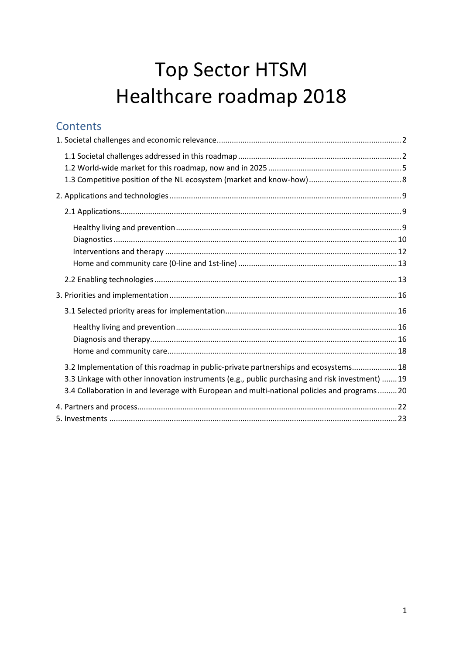# **Top Sector HTSM** Healthcare roadmap 2018

# Contents

| 3.2 Implementation of this roadmap in public-private partnerships and ecosystems 18<br>3.3 Linkage with other innovation instruments (e.g., public purchasing and risk investment)  19<br>3.4 Collaboration in and leverage with European and multi-national policies and programs20 |  |
|--------------------------------------------------------------------------------------------------------------------------------------------------------------------------------------------------------------------------------------------------------------------------------------|--|
|                                                                                                                                                                                                                                                                                      |  |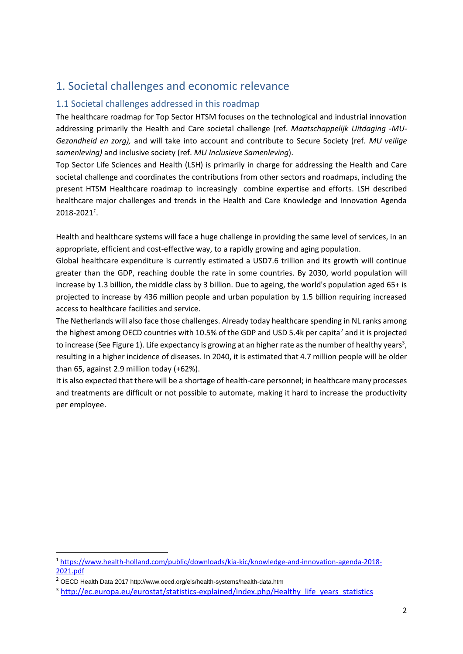# <span id="page-1-0"></span>1. Societal challenges and economic relevance

### <span id="page-1-1"></span>1.1 Societal challenges addressed in this roadmap

The healthcare roadmap for Top Sector HTSM focuses on the technological and industrial innovation addressing primarily the Health and Care societal challenge (ref. *Maatschappelijk Uitdaging -MU-Gezondheid en zorg),* and will take into account and contribute to Secure Society (ref. *MU veilige samenleving)* and inclusive society (ref. *MU Inclusieve Samenleving*).

Top Sector Life Sciences and Health (LSH) is primarily in charge for addressing the Health and Care societal challenge and coordinates the contributions from other sectors and roadmaps, including the present HTSM Healthcare roadmap to increasingly combine expertise and efforts. LSH described healthcare major challenges and trends in the Health and Care Knowledge and Innovation Agenda 2018-2021*<sup>1</sup>* .

Health and healthcare systems will face a huge challenge in providing the same level of services, in an appropriate, efficient and cost-effective way, to a rapidly growing and aging population.

Global healthcare expenditure is currently estimated a USD7.6 trillion and its growth will continue greater than the GDP, reaching double the rate in some countries. By 2030, world population will increase by 1.3 billion, the middle class by 3 billion. Due to ageing, the world's population aged 65+ is projected to increase by 436 million people and urban population by 1.5 billion requiring increased access to healthcare facilities and service.

The Netherlands will also face those challenges. Already today healthcare spending in NL ranks among the highest among OECD countries with 10.5% of the GDP and USD 5.4k per capita<sup>2</sup> and it is projected to increase (See Figure 1). Life expectancy is growing at an higher rate as the number of healthy years<sup>3</sup>, resulting in a higher incidence of diseases. In 2040, it is estimated that 4.7 million people will be older than 65, against 2.9 million today (+62%).

It is also expected that there will be a shortage of health-care personnel; in healthcare many processes and treatments are difficult or not possible to automate, making it hard to increase the productivity per employee.

 $\overline{a}$ 

<sup>1</sup> [https://www.health-holland.com/public/downloads/kia-kic/knowledge-and-innovation-agenda-2018-](https://www.health-holland.com/public/downloads/kia-kic/knowledge-and-innovation-agenda-2018-2021.pdf) [2021.pdf](https://www.health-holland.com/public/downloads/kia-kic/knowledge-and-innovation-agenda-2018-2021.pdf)

<sup>2</sup> OECD Health Data 2017 http://www.oecd.org/els/health-systems/health-data.htm

<sup>&</sup>lt;sup>3</sup> [http://ec.europa.eu/eurostat/statistics-explained/index.php/Healthy\\_life\\_years\\_statistics](http://ec.europa.eu/eurostat/statistics-explained/index.php/Healthy_life_years_statistics)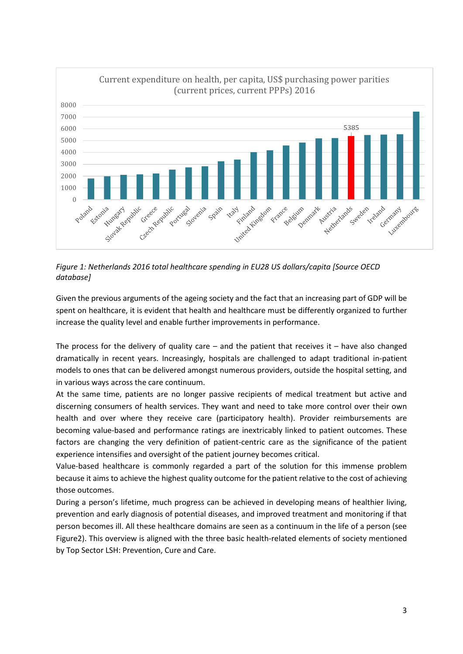

*Figure 1: Netherlands 2016 total healthcare spending in EU28 US dollars/capita [Source OECD database]*

Given the previous arguments of the ageing society and the fact that an increasing part of GDP will be spent on healthcare, it is evident that health and healthcare must be differently organized to further increase the quality level and enable further improvements in performance.

The process for the delivery of quality care  $-$  and the patient that receives it  $-$  have also changed dramatically in recent years. Increasingly, hospitals are challenged to adapt traditional in-patient models to ones that can be delivered amongst numerous providers, outside the hospital setting, and in various ways across the care continuum.

At the same time, patients are no longer passive recipients of medical treatment but active and discerning consumers of health services. They want and need to take more control over their own health and over where they receive care (participatory health). Provider reimbursements are becoming value-based and performance ratings are inextricably linked to patient outcomes. These factors are changing the very definition of patient-centric care as the significance of the patient experience intensifies and oversight of the patient journey becomes critical.

Value-based healthcare is commonly regarded a part of the solution for this immense problem because it aims to achieve the highest quality outcome for the patient relative to the cost of achieving those outcomes.

During a person's lifetime, much progress can be achieved in developing means of healthier living, prevention and early diagnosis of potential diseases, and improved treatment and monitoring if that person becomes ill. All these healthcare domains are seen as a continuum in the life of a person (see Figure2). This overview is aligned with the three basic health-related elements of society mentioned by Top Sector LSH: Prevention, Cure and Care.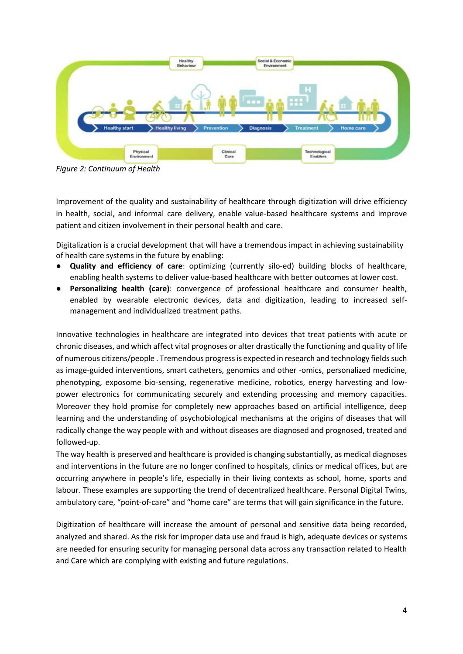

*Figure 2: Continuum of Health*

Improvement of the quality and sustainability of healthcare through digitization will drive efficiency in health, social, and informal care delivery, enable value-based healthcare systems and improve patient and citizen involvement in their personal health and care.

Digitalization is a crucial development that will have a tremendous impact in achieving sustainability of health care systems in the future by enabling:

- **Quality and efficiency of care**: optimizing (currently silo-ed) building blocks of healthcare, enabling health systems to deliver value-based healthcare with better outcomes at lower cost.
- **Personalizing health (care)**: convergence of professional healthcare and consumer health, enabled by wearable electronic devices, data and digitization, leading to increased selfmanagement and individualized treatment paths.

Innovative technologies in healthcare are integrated into devices that treat patients with acute or chronic diseases, and which affect vital prognoses or alter drastically the functioning and quality of life of numerous citizens/people . Tremendous progress is expected in research and technology fields such as image-guided interventions, smart catheters, genomics and other -omics, personalized medicine, phenotyping, exposome bio-sensing, regenerative medicine, robotics, energy harvesting and lowpower electronics for communicating securely and extending processing and memory capacities. Moreover they hold promise for completely new approaches based on artificial intelligence, deep learning and the understanding of psychobiological mechanisms at the origins of diseases that will radically change the way people with and without diseases are diagnosed and prognosed, treated and followed-up.

The way health is preserved and healthcare is provided is changing substantially, as medical diagnoses and interventions in the future are no longer confined to hospitals, clinics or medical offices, but are occurring anywhere in people's life, especially in their living contexts as school, home, sports and labour. These examples are supporting the trend of decentralized healthcare. Personal Digital Twins, ambulatory care, "point-of-care" and "home care" are terms that will gain significance in the future.

Digitization of healthcare will increase the amount of personal and sensitive data being recorded, analyzed and shared. As the risk for improper data use and fraud is high, adequate devices or systems are needed for ensuring security for managing personal data across any transaction related to Health and Care which are complying with existing and future regulations.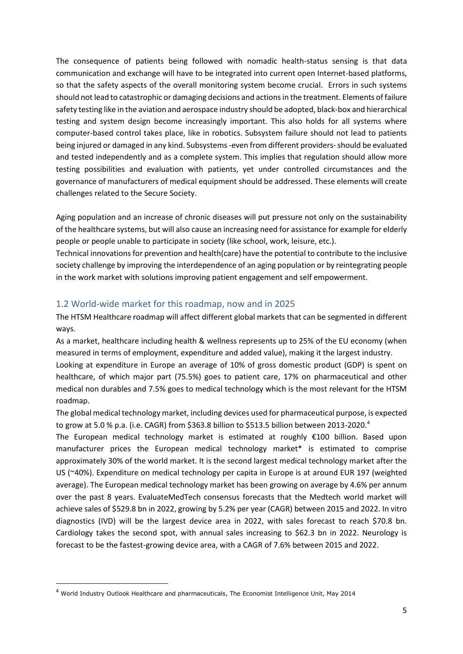The consequence of patients being followed with nomadic health-status sensing is that data communication and exchange will have to be integrated into current open Internet-based platforms, so that the safety aspects of the overall monitoring system become crucial. Errors in such systems should not lead to catastrophic or damaging decisions and actions in the treatment. Elements of failure safety testing like in the aviation and aerospace industry should be adopted, black-box and hierarchical testing and system design become increasingly important. This also holds for all systems where computer-based control takes place, like in robotics. Subsystem failure should not lead to patients being injured or damaged in any kind. Subsystems -even from different providers-should be evaluated and tested independently and as a complete system. This implies that regulation should allow more testing possibilities and evaluation with patients, yet under controlled circumstances and the governance of manufacturers of medical equipment should be addressed. These elements will create challenges related to the Secure Society.

Aging population and an increase of chronic diseases will put pressure not only on the sustainability of the healthcare systems, but will also cause an increasing need for assistance for example for elderly people or people unable to participate in society (like school, work, leisure, etc.).

Technical innovations for prevention and health(care) have the potential to contribute to the inclusive society challenge by improving the interdependence of an aging population or by reintegrating people in the work market with solutions improving patient engagement and self empowerment.

#### <span id="page-4-0"></span>1.2 World-wide market for this roadmap, now and in 2025

The HTSM Healthcare roadmap will affect different global markets that can be segmented in different ways.

As a market, healthcare including health & wellness represents up to 25% of the EU economy (when measured in terms of employment, expenditure and added value), making it the largest industry.

Looking at expenditure in Europe an average of 10% of gross domestic product (GDP) is spent on healthcare, of which major part (75.5%) goes to patient care, 17% on pharmaceutical and other medical non durables and 7.5% goes to medical technology which is the most relevant for the HTSM roadmap.

The global medical technology market, including devices used for pharmaceutical purpose, is expected to grow at 5.0 % p.a. (i.e. CAGR) from \$363.8 billion to \$513.5 billion between 2013-2020.<sup>4</sup>

The European medical technology market is estimated at roughly €100 billion. Based upon manufacturer prices the European medical technology market\* is estimated to comprise approximately 30% of the world market. It is the second largest medical technology market after the US (~40%). Expenditure on medical technology per capita in Europe is at around EUR 197 (weighted average). The European medical technology market has been growing on average by 4.6% per annum over the past 8 years. EvaluateMedTech consensus forecasts that the Medtech world market will achieve sales of \$529.8 bn in 2022, growing by 5.2% per year (CAGR) between 2015 and 2022. In vitro diagnostics (IVD) will be the largest device area in 2022, with sales forecast to reach \$70.8 bn. Cardiology takes the second spot, with annual sales increasing to \$62.3 bn in 2022. Neurology is forecast to be the fastest-growing device area, with a CAGR of 7.6% between 2015 and 2022.

**.** 

<sup>4</sup> World Industry Outlook Healthcare and pharmaceuticals, The Economist Intelligence Unit, May 2014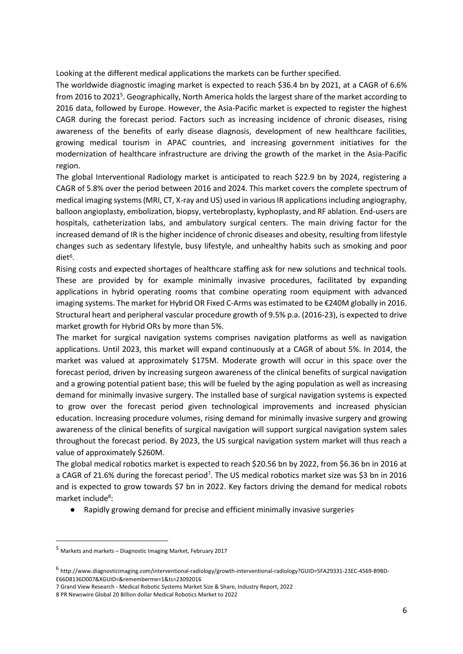Looking at the different medical applications the markets can be further specified.

The worldwide diagnostic imaging market is expected to reach \$36.4 bn by 2021, at a CAGR of 6.6% from 2016 to 2021<sup>5</sup>. Geographically, North America holds the largest share of the market according to 2016 data, followed by Europe. However, the Asia-Pacific market is expected to register the highest CAGR during the forecast period. Factors such as increasing incidence of chronic diseases, rising awareness of the benefits of early disease diagnosis, development of new healthcare facilities, growing medical tourism in APAC countries, and increasing government initiatives for the modernization of healthcare infrastructure are driving the growth of the market in the Asia-Pacific region.

The global Interventional Radiology market is anticipated to reach \$22.9 bn by 2024, registering a CAGR of 5.8% over the period between 2016 and 2024. This market covers the complete spectrum of medical imaging systems (MRI, CT, X-ray and US) used in various IR applications including angiography, balloon angioplasty, embolization, biopsy, vertebroplasty, kyphoplasty, and RF ablation. End-users are hospitals, catheterization labs, and ambulatory surgical centers. The main driving factor for the increased demand of IR is the higher incidence of chronic diseases and obesity, resulting from lifestyle changes such as sedentary lifestyle, busy lifestyle, and unhealthy habits such as smoking and poor diet<sup>6</sup>.

Rising costs and expected shortages of healthcare staffing ask for new solutions and technical tools. These are provided by for example minimally invasive procedures, facilitated by expanding applications in hybrid operating rooms that combine operating room equipment with advanced imaging systems. The market for Hybrid OR Fixed C-Arms was estimated to be €240M globally in 2016. Structural heart and peripheral vascular procedure growth of 9.5% p.a. (2016-23), is expected to drive market growth for Hybrid ORs by more than 5%.

The market for surgical navigation systems comprises navigation platforms as well as navigation applications. Until 2023, this market will expand continuously at a CAGR of about 5%. In 2014, the market was valued at approximately \$175M. Moderate growth will occur in this space over the forecast period, driven by increasing surgeon awareness of the clinical benefits of surgical navigation and a growing potential patient base; this will be fueled by the aging population as well as increasing demand for minimally invasive surgery. The installed base of surgical navigation systems is expected to grow over the forecast period given technological improvements and increased physician education. Increasing procedure volumes, rising demand for minimally invasive surgery and growing awareness of the clinical benefits of surgical navigation will support surgical navigation system sales throughout the forecast period. By 2023, the US surgical navigation system market will thus reach a value of approximately \$260M.

The global medical robotics market is expected to reach \$20.56 bn by 2022, from \$6.36 bn in 2016 at a CAGR of 21.6% during the forecast period<sup>7</sup>. The US medical robotics market size was \$3 bn in 2016 and is expected to grow towards \$7 bn in 2022. Key factors driving the demand for medical robots market include<sup>8</sup>:

● Rapidly growing demand for precise and efficient minimally invasive surgeries

 $\overline{a}$ 

<sup>5</sup> Markets and markets – Diagnostic Imaging Market, February 2017

<sup>6</sup> http://www.diagnosticimaging.com/interventional-radiology/growth-interventional-radiology?GUID=5FA29331-23EC-4569-B9BD-E66D8136D007&XGUID=&rememberme=1&ts=23092016

<sup>7</sup> Grand View Research - Medical Robotic Systems Market Size & Share, Industry Report, 2022

<sup>8</sup> PR Newswire Global 20 Billion dollar Medical Robotics Market to 2022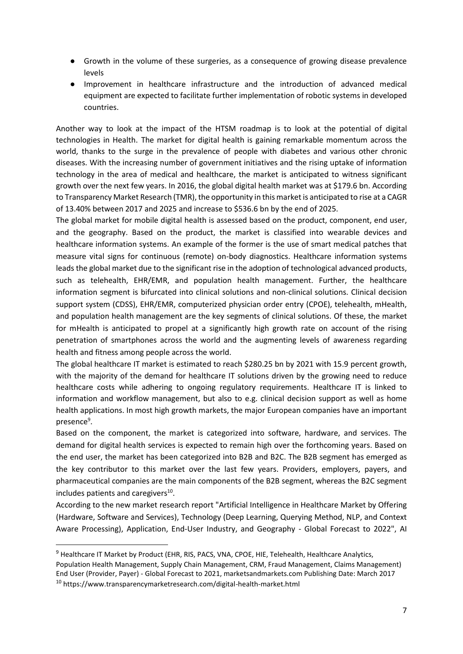- Growth in the volume of these surgeries, as a consequence of growing disease prevalence levels
- Improvement in healthcare infrastructure and the introduction of advanced medical equipment are expected to facilitate further implementation of robotic systems in developed countries.

Another way to look at the impact of the HTSM roadmap is to look at the potential of digital technologies in Health. The market for digital health is gaining remarkable momentum across the world, thanks to the surge in the prevalence of people with diabetes and various other chronic diseases. With the increasing number of government initiatives and the rising uptake of information technology in the area of medical and healthcare, the market is anticipated to witness significant growth over the next few years. In 2016, the global digital health market was at \$179.6 bn. According to Transparency Market Research (TMR), the opportunity in this market is anticipated to rise at a CAGR of 13.40% between 2017 and 2025 and increase to \$536.6 bn by the end of 2025.

The global market for mobile digital health is assessed based on the product, component, end user, and the geography. Based on the product, the market is classified into wearable devices and healthcare information systems. An example of the former is the use of smart medical patches that measure vital signs for continuous (remote) on-body diagnostics. Healthcare information systems leads the global market due to the significant rise in the adoption of technological advanced products, such as telehealth, EHR/EMR, and population health management. Further, the healthcare information segment is bifurcated into clinical solutions and non-clinical solutions. Clinical decision support system (CDSS), EHR/EMR, computerized physician order entry (CPOE), telehealth, mHealth, and population health management are the key segments of clinical solutions. Of these, the market for mHealth is anticipated to propel at a significantly high growth rate on account of the rising penetration of smartphones across the world and the augmenting levels of awareness regarding health and fitness among people across the world.

The global healthcare IT market is estimated to reach \$280.25 bn by 2021 with 15.9 percent growth, with the majority of the demand for healthcare IT solutions driven by the growing need to reduce healthcare costs while adhering to ongoing regulatory requirements. Healthcare IT is linked to information and workflow management, but also to e.g. clinical decision support as well as home health applications. In most high growth markets, the major European companies have an important presence<sup>9</sup>.

Based on the component, the market is categorized into software, hardware, and services. The demand for digital health services is expected to remain high over the forthcoming years. Based on the end user, the market has been categorized into B2B and B2C. The B2B segment has emerged as the key contributor to this market over the last few years. Providers, employers, payers, and pharmaceutical companies are the main components of the B2B segment, whereas the B2C segment includes patients and caregivers<sup>10</sup>.

According to the new market research report "Artificial Intelligence in Healthcare Market by Offering (Hardware, Software and Services), Technology (Deep Learning, Querying Method, NLP, and Context Aware Processing), Application, End-User Industry, and Geography - Global Forecast to 2022", AI

**.** 

<sup>&</sup>lt;sup>9</sup> Healthcare IT Market by Product (EHR, RIS, PACS, VNA, CPOE, HIE, Telehealth, Healthcare Analytics, Population Health Management, Supply Chain Management, CRM, Fraud Management, Claims Management) End User (Provider, Payer) - Global Forecast to 2021, marketsandmarkets.com Publishing Date: March 2017 <sup>10</sup> https://www.transparencymarketresearch.com/digital-health-market.html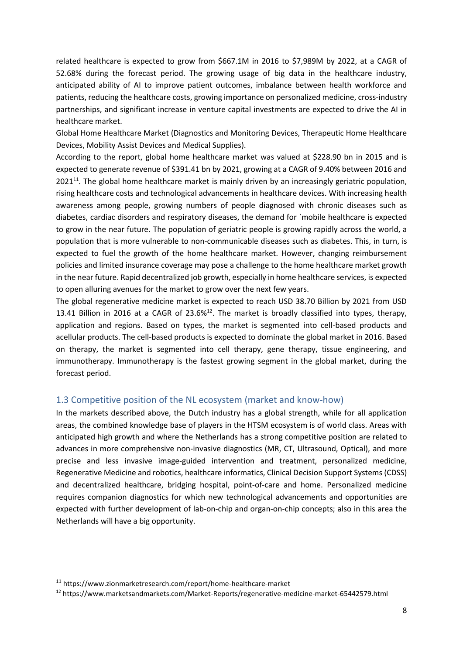related healthcare is expected to grow from \$667.1M in 2016 to \$7,989M by 2022, at a CAGR of 52.68% during the forecast period. The growing usage of big data in the healthcare industry, anticipated ability of AI to improve patient outcomes, imbalance between health workforce and patients, reducing the healthcare costs, growing importance on personalized medicine, cross-industry partnerships, and significant increase in venture capital investments are expected to drive the AI in healthcare market.

Global Home Healthcare Market (Diagnostics and Monitoring Devices, Therapeutic Home Healthcare Devices, Mobility Assist Devices and Medical Supplies).

According to the report, global [home healthcare market](https://www.zionmarketresearch.com/report/home-healthcare-market) was valued at \$228.90 bn in 2015 and is expected to generate revenue of \$391.41 bn by 2021, growing at a CAGR of 9.40% between 2016 and  $2021^{11}$ . The global home healthcare market is mainly driven by an increasingly geriatric population, rising healthcare costs and technological advancements in healthcare devices. With increasing health awareness among people, growing numbers of people diagnosed with chronic diseases such as diabetes, cardiac disorders and respiratory diseases, the demand for `mobile healthcare is expected to grow in the near future. The population of geriatric people is growing rapidly across the world, a population that is more vulnerable to non-communicable diseases such as diabetes. This, in turn, is expected to fuel the growth of the home healthcare market. However, changing reimbursement policies and limited insurance coverage may pose a challenge to the home healthcare market growth in the near future. Rapid decentralized job growth, especially in home healthcare services, is expected to open alluring avenues for the market to grow over the next few years.

The global regenerative medicine market is expected to reach USD 38.70 Billion by 2021 from USD 13.41 Billion in 2016 at a CAGR of 23.6%<sup>12</sup>. The market is broadly classified into types, therapy, application and regions. Based on types, the market is segmented into cell-based products and acellular products. The cell-based products is expected to dominate the global market in 2016. Based on therapy, the market is segmented into cell therapy, gene therapy, tissue engineering, and immunotherapy. Immunotherapy is the fastest growing segment in the global market, during the forecast period.

#### <span id="page-7-0"></span>1.3 Competitive position of the NL ecosystem (market and know-how)

In the markets described above, the Dutch industry has a global strength, while for all application areas, the combined knowledge base of players in the HTSM ecosystem is of world class. Areas with anticipated high growth and where the Netherlands has a strong competitive position are related to advances in more comprehensive non-invasive diagnostics (MR, CT, Ultrasound, Optical), and more precise and less invasive image-guided intervention and treatment, personalized medicine, Regenerative Medicine and robotics, healthcare informatics, Clinical Decision Support Systems (CDSS) and decentralized healthcare, bridging hospital, point-of-care and home. Personalized medicine requires companion diagnostics for which new technological advancements and opportunities are expected with further development of lab-on-chip and organ-on-chip concepts; also in this area the Netherlands will have a big opportunity.

 $\overline{a}$ 

<sup>11</sup> https://www.zionmarketresearch.com/report/home-healthcare-market

<sup>12</sup> https://www.marketsandmarkets.com/Market-Reports/regenerative-medicine-market-65442579.html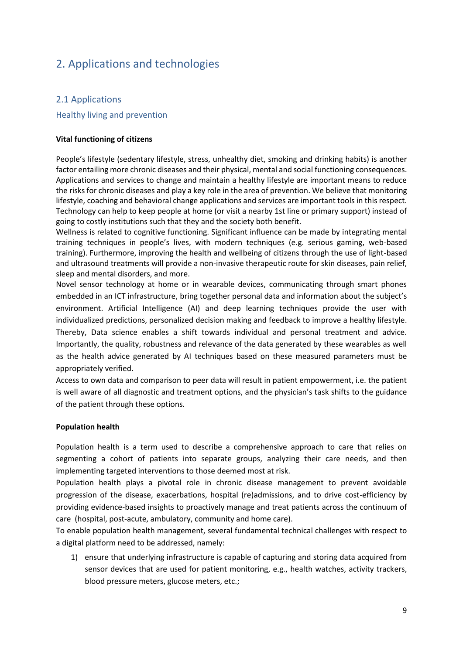## <span id="page-8-0"></span>2. Applications and technologies

#### <span id="page-8-1"></span>2.1 Applications

#### <span id="page-8-2"></span>Healthy living and prevention

#### **Vital functioning of citizens**

People's lifestyle (sedentary lifestyle, stress, unhealthy diet, smoking and drinking habits) is another factor entailing more chronic diseases and their physical, mental and social functioning consequences. Applications and services to change and maintain a healthy lifestyle are important means to reduce the risks for chronic diseases and play a key role in the area of prevention. We believe that monitoring lifestyle, coaching and behavioral change applications and services are important tools in this respect. Technology can help to keep people at home (or visit a nearby 1st line or primary support) instead of going to costly institutions such that they and the society both benefit.

Wellness is related to cognitive functioning. Significant influence can be made by integrating mental training techniques in people's lives, with modern techniques (e.g. serious gaming, web-based training). Furthermore, improving the health and wellbeing of citizens through the use of light-based and ultrasound treatments will provide a non-invasive therapeutic route for skin diseases, pain relief, sleep and mental disorders, and more.

Novel sensor technology at home or in wearable devices, communicating through smart phones embedded in an ICT infrastructure, bring together personal data and information about the subject's environment. Artificial Intelligence (AI) and deep learning techniques provide the user with individualized predictions, personalized decision making and feedback to improve a healthy lifestyle. Thereby, Data science enables a shift towards individual and personal treatment and advice. Importantly, the quality, robustness and relevance of the data generated by these wearables as well as the health advice generated by AI techniques based on these measured parameters must be appropriately verified.

Access to own data and comparison to peer data will result in patient empowerment, i.e. the patient is well aware of all diagnostic and treatment options, and the physician's task shifts to the guidance of the patient through these options.

#### **Population health**

Population health is a term used to describe a comprehensive approach to care that relies on segmenting a cohort of patients into separate groups, analyzing their care needs, and then implementing targeted interventions to those deemed most at risk.

Population health plays a pivotal role in chronic disease management to prevent avoidable progression of the disease, exacerbations, hospital (re)admissions, and to drive cost-efficiency by providing evidence-based insights to proactively manage and treat patients across the continuum of care (hospital, post-acute, ambulatory, community and home care).

To enable population health management, several fundamental technical challenges with respect to a digital platform need to be addressed, namely:

1) ensure that underlying infrastructure is capable of capturing and storing data acquired from sensor devices that are used for patient monitoring, e.g., health watches, activity trackers, blood pressure meters, glucose meters, etc.;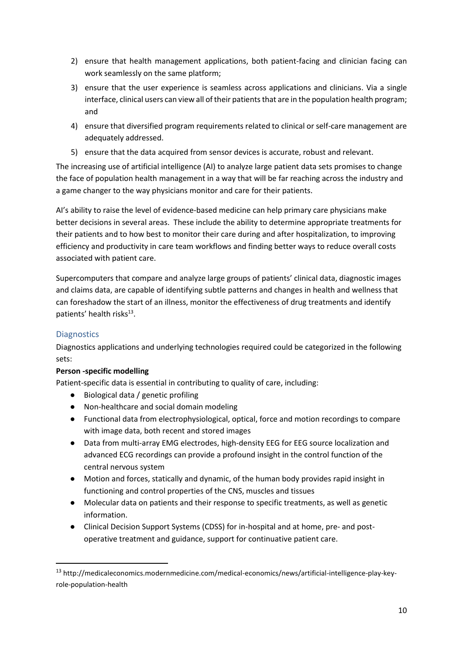- 2) ensure that health management applications, both patient-facing and clinician facing can work seamlessly on the same platform;
- 3) ensure that the user experience is seamless across applications and clinicians. Via a single interface, clinical users can view all of their patients that are in the population health program; and
- 4) ensure that diversified program requirements related to clinical or self-care management are adequately addressed.
- 5) ensure that the data acquired from sensor devices is accurate, robust and relevant.

The increasing use of artificial intelligence (AI) to analyze large patient data sets promises to change the face of population health management in a way that will be far reaching across the industry and a game changer to the way physicians monitor and care for their patients.

AI's ability to raise the level of evidence-based medicine can help primary care physicians make better decisions in several areas. These include the ability to determine appropriate treatments for their patients and to how best to monitor their care during and after hospitalization, to improving efficiency and productivity in care team workflows and finding better ways to reduce overall costs associated with patient care.

Supercomputers that compare and analyze large groups of patients' clinical data, diagnostic images and claims data, are capable of identifying subtle patterns and changes in health and wellness that can foreshadow the start of an illness, monitor the effectiveness of drug treatments and identify patients' health risks<sup>13</sup>.

#### <span id="page-9-0"></span>**Diagnostics**

1

Diagnostics applications and underlying technologies required could be categorized in the following sets:

#### **Person -specific modelling**

Patient-specific data is essential in contributing to quality of care, including:

- Biological data / genetic profiling
- Non-healthcare and social domain modeling
- Functional data from electrophysiological, optical, force and motion recordings to compare with image data, both recent and stored images
- Data from multi-array EMG electrodes, high-density EEG for EEG source localization and advanced ECG recordings can provide a profound insight in the control function of the central nervous system
- Motion and forces, statically and dynamic, of the human body provides rapid insight in functioning and control properties of the CNS, muscles and tissues
- Molecular data on patients and their response to specific treatments, as well as genetic information.
- Clinical Decision Support Systems (CDSS) for in-hospital and at home, pre- and postoperative treatment and guidance, support for continuative patient care.

<sup>13</sup> http://medicaleconomics.modernmedicine.com/medical-economics/news/artificial-intelligence-play-keyrole-population-health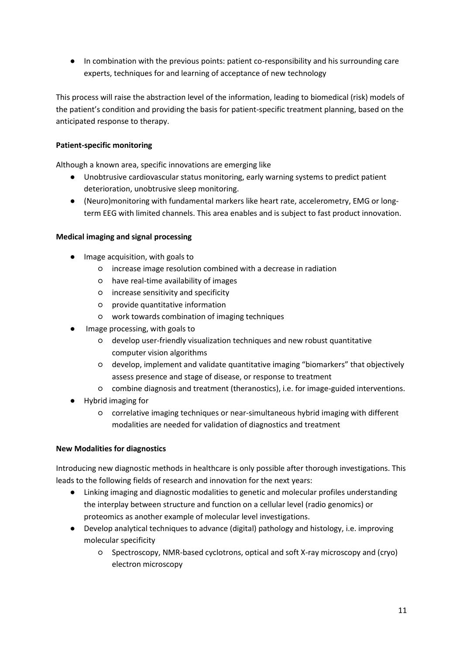● In combination with the previous points: patient co-responsibility and his surrounding care experts, techniques for and learning of acceptance of new technology

This process will raise the abstraction level of the information, leading to biomedical (risk) models of the patient's condition and providing the basis for patient-specific treatment planning, based on the anticipated response to therapy.

#### **Patient-specific monitoring**

Although a known area, specific innovations are emerging like

- Unobtrusive cardiovascular status monitoring, early warning systems to predict patient deterioration, unobtrusive sleep monitoring.
- (Neuro)monitoring with fundamental markers like heart rate, accelerometry, EMG or longterm EEG with limited channels. This area enables and is subject to fast product innovation.

#### **Medical imaging and signal processing**

- Image acquisition, with goals to
	- increase image resolution combined with a decrease in radiation
	- have real-time availability of images
	- increase sensitivity and specificity
	- provide quantitative information
	- work towards combination of imaging techniques
- Image processing, with goals to
	- develop user-friendly visualization techniques and new robust quantitative computer vision algorithms
	- develop, implement and validate quantitative imaging "biomarkers" that objectively assess presence and stage of disease, or response to treatment
	- combine diagnosis and treatment (theranostics), i.e. for image-guided interventions.
- Hybrid imaging for
	- correlative imaging techniques or near-simultaneous hybrid imaging with different modalities are needed for validation of diagnostics and treatment

#### **New Modalities for diagnostics**

Introducing new diagnostic methods in healthcare is only possible after thorough investigations. This leads to the following fields of research and innovation for the next years:

- Linking imaging and diagnostic modalities to genetic and molecular profiles understanding the interplay between structure and function on a cellular level (radio genomics) or proteomics as another example of molecular level investigations.
- Develop analytical techniques to advance (digital) pathology and histology, i.e. improving molecular specificity
	- Spectroscopy, NMR-based cyclotrons, optical and soft X-ray microscopy and (cryo) electron microscopy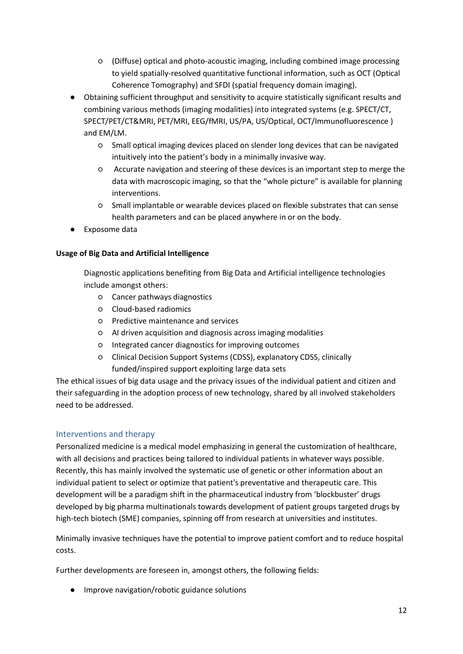- (Diffuse) optical and photo-acoustic imaging, including combined image processing to yield spatially-resolved quantitative functional information, such as OCT (Optical Coherence Tomography) and SFDI (spatial frequency domain imaging).
- Obtaining sufficient throughput and sensitivity to acquire statistically significant results and combining various methods (imaging modalities) into integrated systems (e.g. SPECT/CT, SPECT/PET/CT&MRI, PET/MRI, EEG/fMRI, US/PA, US/Optical, OCT/Immunofluorescence ) and EM/LM.
	- Small optical imaging devices placed on slender long devices that can be navigated intuitively into the patient's body in a minimally invasive way.
	- Accurate navigation and steering of these devices is an important step to merge the data with macroscopic imaging, so that the "whole picture" is available for planning interventions.
	- Small implantable or wearable devices placed on flexible substrates that can sense health parameters and can be placed anywhere in or on the body.
- Exposome data

#### **Usage of Big Data and Artificial Intelligence**

Diagnostic applications benefiting from Big Data and Artificial intelligence technologies include amongst others:

- Cancer pathways diagnostics
- Cloud-based radiomics
- Predictive maintenance and services
- AI driven acquisition and diagnosis across imaging modalities
- Integrated cancer diagnostics for improving outcomes
- Clinical Decision Support Systems (CDSS), explanatory CDSS, clinically funded/inspired support exploiting large data sets

The ethical issues of big data usage and the privacy issues of the individual patient and citizen and their safeguarding in the adoption process of new technology, shared by all involved stakeholders need to be addressed.

#### <span id="page-11-0"></span>Interventions and therapy

Personalized medicine is a medical model emphasizing in general the customization of healthcare, with all decisions and practices being tailored to individual patients in whatever ways possible. Recently, this has mainly involved the systematic use of genetic or other information about an individual patient to select or optimize that patient's preventative and therapeutic care. This development will be a paradigm shift in the pharmaceutical industry from 'blockbuster' drugs developed by big pharma multinationals towards development of patient groups targeted drugs by high-tech biotech (SME) companies, spinning off from research at universities and institutes.

Minimally invasive techniques have the potential to improve patient comfort and to reduce hospital costs.

Further developments are foreseen in, amongst others, the following fields:

● Improve navigation/robotic guidance solutions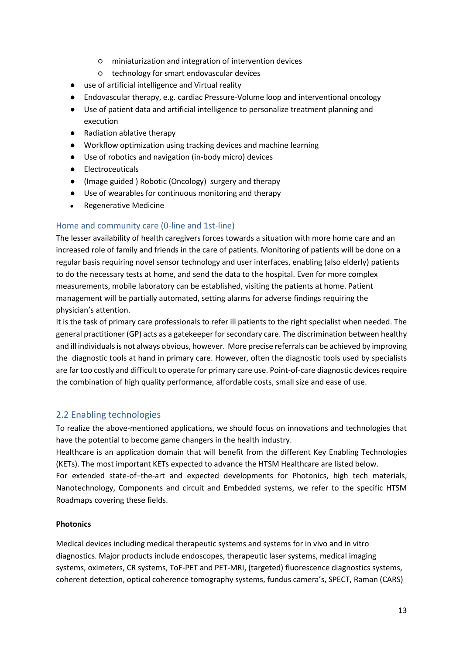- miniaturization and integration of intervention devices
- technology for smart endovascular devices
- use of artificial intelligence and Virtual reality
- Endovascular therapy, e.g. cardiac Pressure-Volume loop and interventional oncology
- Use of patient data and artificial intelligence to personalize treatment planning and execution
- Radiation ablative therapy
- Workflow optimization using tracking devices and machine learning
- Use of robotics and navigation (in-body micro) devices
- Electroceuticals
- (Image guided ) Robotic (Oncology) surgery and therapy
- Use of wearables for continuous monitoring and therapy
- Regenerative Medicine

#### <span id="page-12-0"></span>Home and community care (0-line and 1st-line)

The lesser availability of health caregivers forces towards a situation with more home care and an increased role of family and friends in the care of patients. Monitoring of patients will be done on a regular basis requiring novel sensor technology and user interfaces, enabling (also elderly) patients to do the necessary tests at home, and send the data to the hospital. Even for more complex measurements, mobile laboratory can be established, visiting the patients at home. Patient management will be partially automated, setting alarms for adverse findings requiring the physician's attention.

It is the task of primary care professionals to refer ill patients to the right specialist when needed. The general practitioner (GP) acts as a gatekeeper for secondary care. The discrimination between healthy and ill individuals is not always obvious, however. More precise referrals can be achieved by improving the diagnostic tools at hand in primary care. However, often the diagnostic tools used by specialists are far too costly and difficult to operate for primary care use. Point-of-care diagnostic devices require the combination of high quality performance, affordable costs, small size and ease of use.

#### <span id="page-12-1"></span>2.2 Enabling technologies

To realize the above-mentioned applications, we should focus on innovations and technologies that have the potential to become game changers in the health industry.

Healthcare is an application domain that will benefit from the different Key Enabling Technologies (KETs). The most important KETs expected to advance the HTSM Healthcare are listed below.

For extended state-of–the-art and expected developments for Photonics, high tech materials, Nanotechnology, Components and circuit and Embedded systems, we refer to the specific HTSM Roadmaps covering these fields.

#### **Photonics**

Medical devices including medical therapeutic systems and systems for in vivo and in vitro diagnostics. Major products include endoscopes, therapeutic laser systems, medical imaging systems, oximeters, CR systems, ToF-PET and PET-MRI, (targeted) fluorescence diagnostics systems, coherent detection, optical coherence tomography systems, fundus camera's, SPECT, Raman (CARS)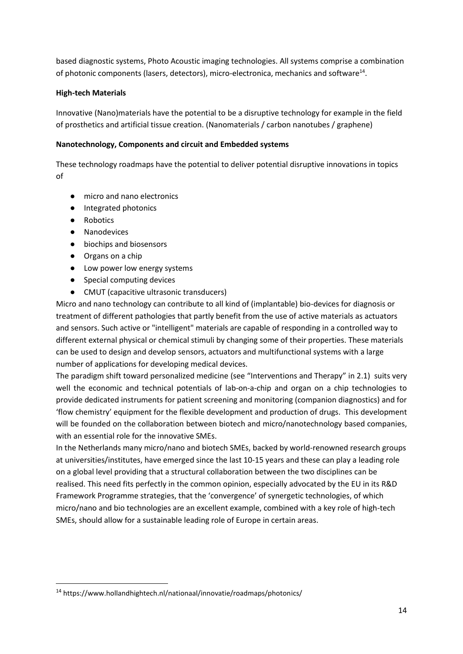based diagnostic systems, Photo Acoustic imaging technologies. All systems comprise a combination of photonic components (lasers, detectors), micro-electronica, mechanics and software<sup>14</sup>.

#### **High-tech Materials**

Innovative (Nano)materials have the potential to be a disruptive technology for example in the field of prosthetics and artificial tissue creation. (Nanomaterials / carbon nanotubes / graphene)

#### **Nanotechnology, Components and circuit and Embedded systems**

These technology roadmaps have the potential to deliver potential disruptive innovations in topics of

- micro and nano electronics
- Integrated photonics
- Robotics

**.** 

- Nanodevices
- biochips and biosensors
- Organs on a chip
- Low power low energy systems
- Special computing devices
- CMUT (capacitive ultrasonic transducers)

Micro and nano technology can contribute to all kind of (implantable) bio-devices for diagnosis or treatment of different pathologies that partly benefit from the use of active materials as actuators and sensors. Such active or "intelligent" materials are capable of responding in a controlled way to different external physical or chemical stimuli by changing some of their properties. These materials can be used to design and develop sensors, actuators and multifunctional systems with a large number of applications for developing medical devices.

The paradigm shift toward personalized medicine (see "Interventions and Therapy" in 2.1) suits very well the economic and technical potentials of lab-on-a-chip and organ on a chip technologies to provide dedicated instruments for patient screening and monitoring (companion diagnostics) and for 'flow chemistry' equipment for the flexible development and production of drugs. This development will be founded on the collaboration between biotech and micro/nanotechnology based companies, with an essential role for the innovative SMEs.

In the Netherlands many micro/nano and biotech SMEs, backed by world-renowned research groups at universities/institutes, have emerged since the last 10-15 years and these can play a leading role on a global level providing that a structural collaboration between the two disciplines can be realised. This need fits perfectly in the common opinion, especially advocated by the EU in its R&D Framework Programme strategies, that the 'convergence' of synergetic technologies, of which micro/nano and bio technologies are an excellent example, combined with a key role of high-tech SMEs, should allow for a sustainable leading role of Europe in certain areas.

<sup>14</sup> https://www.hollandhightech.nl/nationaal/innovatie/roadmaps/photonics/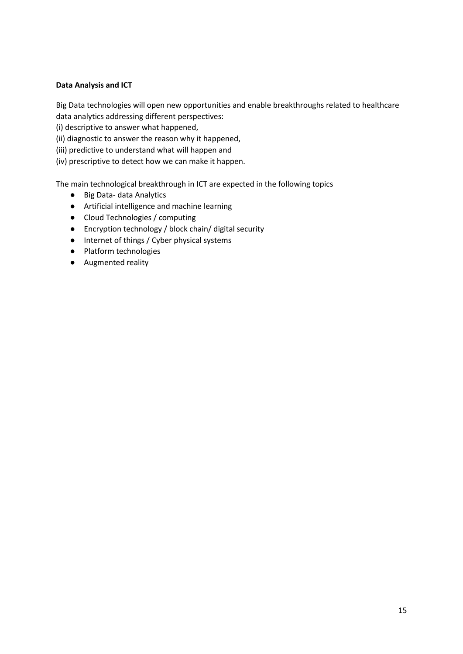#### **Data Analysis and ICT**

Big Data technologies will open new opportunities and enable breakthroughs related to healthcare data analytics addressing different perspectives:

(i) descriptive to answer what happened,

(ii) diagnostic to answer the reason why it happened,

(iii) predictive to understand what will happen and

(iv) prescriptive to detect how we can make it happen.

The main technological breakthrough in ICT are expected in the following topics

- Big Data- data Analytics
- Artificial intelligence and machine learning
- Cloud Technologies / computing
- Encryption technology / block chain/ digital security
- Internet of things / Cyber physical systems
- Platform technologies
- Augmented reality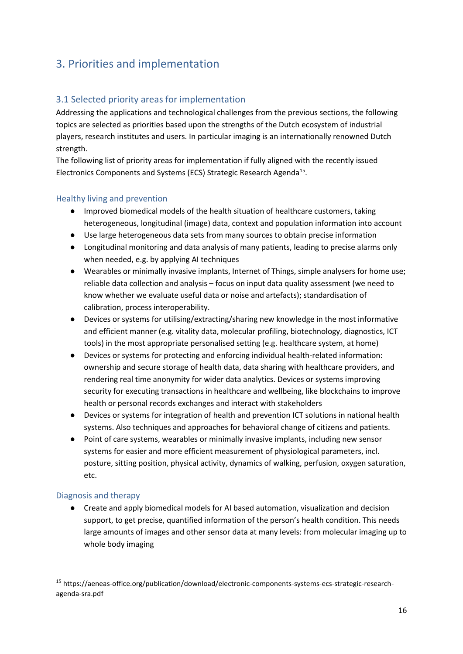# <span id="page-15-0"></span>3. Priorities and implementation

## <span id="page-15-1"></span>3.1 Selected priority areas for implementation

Addressing the applications and technological challenges from the previous sections, the following topics are selected as priorities based upon the strengths of the Dutch ecosystem of industrial players, research institutes and users. In particular imaging is an internationally renowned Dutch strength.

The following list of priority areas for implementation if fully aligned with the recently issued Electronics Components and Systems (ECS) Strategic Research Agenda<sup>15</sup>.

#### <span id="page-15-2"></span>Healthy living and prevention

- Improved biomedical models of the health situation of healthcare customers, taking heterogeneous, longitudinal (image) data, context and population information into account
- Use large heterogeneous data sets from many sources to obtain precise information
- Longitudinal monitoring and data analysis of many patients, leading to precise alarms only when needed, e.g. by applying AI techniques
- Wearables or minimally invasive implants, Internet of Things, simple analysers for home use; reliable data collection and analysis – focus on input data quality assessment (we need to know whether we evaluate useful data or noise and artefacts); standardisation of calibration, process interoperability.
- Devices or systems for utilising/extracting/sharing new knowledge in the most informative and efficient manner (e.g. vitality data, molecular profiling, biotechnology, diagnostics, ICT tools) in the most appropriate personalised setting (e.g. healthcare system, at home)
- Devices or systems for protecting and enforcing individual health-related information: ownership and secure storage of health data, data sharing with healthcare providers, and rendering real time anonymity for wider data analytics. Devices or systems improving security for executing transactions in healthcare and wellbeing, like blockchains to improve health or personal records exchanges and interact with stakeholders
- Devices or systems for integration of health and prevention ICT solutions in national health systems. Also techniques and approaches for behavioral change of citizens and patients.
- Point of care systems, wearables or minimally invasive implants, including new sensor systems for easier and more efficient measurement of physiological parameters, incl. posture, sitting position, physical activity, dynamics of walking, perfusion, oxygen saturation, etc.

#### <span id="page-15-3"></span>Diagnosis and therapy

 $\overline{a}$ 

● Create and apply biomedical models for AI based automation, visualization and decision support, to get precise, quantified information of the person's health condition. This needs large amounts of images and other sensor data at many levels: from molecular imaging up to whole body imaging

<sup>15</sup> https://aeneas-office.org/publication/download/electronic-components-systems-ecs-strategic-researchagenda-sra.pdf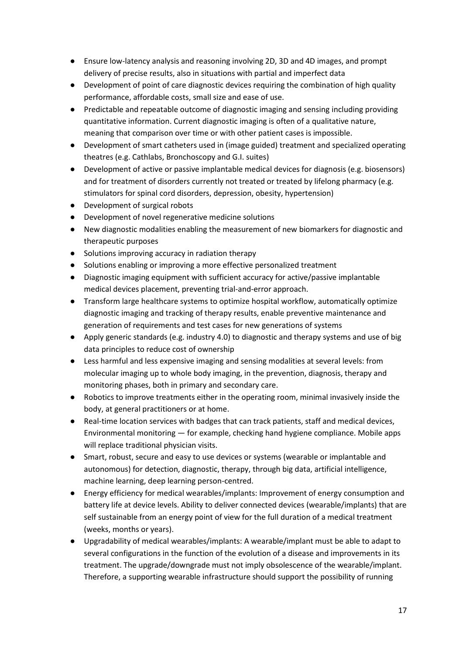- Ensure low-latency analysis and reasoning involving 2D, 3D and 4D images, and prompt delivery of precise results, also in situations with partial and imperfect data
- Development of point of care diagnostic devices requiring the combination of high quality performance, affordable costs, small size and ease of use.
- Predictable and repeatable outcome of diagnostic imaging and sensing including providing quantitative information. Current diagnostic imaging is often of a qualitative nature, meaning that comparison over time or with other patient cases is impossible.
- Development of smart catheters used in (image guided) treatment and specialized operating theatres (e.g. Cathlabs, Bronchoscopy and G.I. suites)
- Development of active or passive implantable medical devices for diagnosis (e.g. biosensors) and for treatment of disorders currently not treated or treated by lifelong pharmacy (e.g. stimulators for spinal cord disorders, depression, obesity, hypertension)
- Development of surgical robots
- Development of novel regenerative medicine solutions
- New diagnostic modalities enabling the measurement of new biomarkers for diagnostic and therapeutic purposes
- Solutions improving accuracy in radiation therapy
- Solutions enabling or improving a more effective personalized treatment
- Diagnostic imaging equipment with sufficient accuracy for active/passive implantable medical devices placement, preventing trial-and-error approach.
- Transform large healthcare systems to optimize hospital workflow, automatically optimize diagnostic imaging and tracking of therapy results, enable preventive maintenance and generation of requirements and test cases for new generations of systems
- Apply generic standards (e.g. industry 4.0) to diagnostic and therapy systems and use of big data principles to reduce cost of ownership
- Less harmful and less expensive imaging and sensing modalities at several levels: from molecular imaging up to whole body imaging, in the prevention, diagnosis, therapy and monitoring phases, both in primary and secondary care.
- Robotics to improve treatments either in the operating room, minimal invasively inside the body, at general practitioners or at home.
- Real-time location services with badges that can track patients, staff and medical devices, Environmental monitoring — for example, checking hand hygiene compliance. Mobile apps will replace traditional physician visits.
- Smart, robust, secure and easy to use devices or systems (wearable or implantable and autonomous) for detection, diagnostic, therapy, through big data, artificial intelligence, machine learning, deep learning person-centred.
- Energy efficiency for medical wearables/implants: Improvement of energy consumption and battery life at device levels. Ability to deliver connected devices (wearable/implants) that are self sustainable from an energy point of view for the full duration of a medical treatment (weeks, months or years).
- Upgradability of medical wearables/implants: A wearable/implant must be able to adapt to several configurations in the function of the evolution of a disease and improvements in its treatment. The upgrade/downgrade must not imply obsolescence of the wearable/implant. Therefore, a supporting wearable infrastructure should support the possibility of running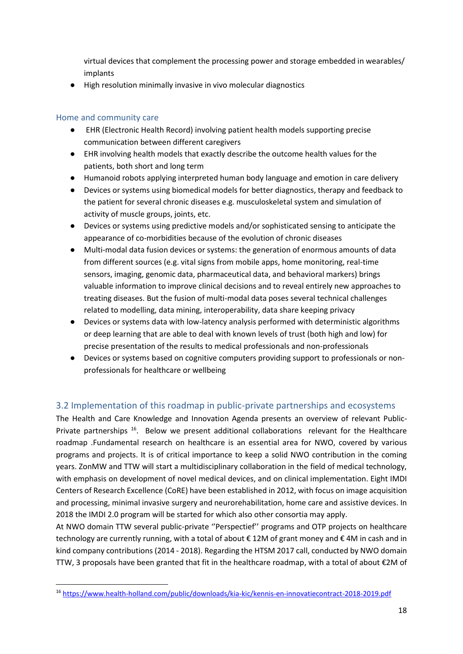virtual devices that complement the processing power and storage embedded in wearables/ implants

High resolution minimally invasive in vivo molecular diagnostics

#### <span id="page-17-0"></span>Home and community care

1

- EHR (Electronic Health Record) involving patient health models supporting precise communication between different caregivers
- EHR involving health models that exactly describe the outcome health values for the patients, both short and long term
- Humanoid robots applying interpreted human body language and emotion in care delivery
- Devices or systems using biomedical models for better diagnostics, therapy and feedback to the patient for several chronic diseases e.g. musculoskeletal system and simulation of activity of muscle groups, joints, etc.
- Devices or systems using predictive models and/or sophisticated sensing to anticipate the appearance of co-morbidities because of the evolution of chronic diseases
- Multi-modal data fusion devices or systems: the generation of enormous amounts of data from different sources (e.g. vital signs from mobile apps, home monitoring, real-time sensors, imaging, genomic data, pharmaceutical data, and behavioral markers) brings valuable information to improve clinical decisions and to reveal entirely new approaches to treating diseases. But the fusion of multi-modal data poses several technical challenges related to modelling, data mining, interoperability, data share keeping privacy
- Devices or systems data with low-latency analysis performed with deterministic algorithms or deep learning that are able to deal with known levels of trust (both high and low) for precise presentation of the results to medical professionals and non-professionals
- Devices or systems based on cognitive computers providing support to professionals or nonprofessionals for healthcare or wellbeing

## <span id="page-17-1"></span>3.2 Implementation of this roadmap in public-private partnerships and ecosystems

The Health and Care Knowledge and Innovation Agenda presents an overview of relevant Public-Private partnerships<sup>16</sup>. Below we present additional collaborations relevant for the Healthcare roadmap .Fundamental research on healthcare is an essential area for NWO, covered by various programs and projects. It is of critical importance to keep a solid NWO contribution in the coming years. ZonMW and TTW will start a multidisciplinary collaboration in the field of medical technology, with emphasis on development of novel medical devices, and on clinical implementation. Eight IMDI Centers of Research Excellence (CoRE) have been established in 2012, with focus on image acquisition and processing, minimal invasive surgery and neurorehabilitation, home care and assistive devices. In 2018 the IMDI 2.0 program will be started for which also other consortia may apply.

At NWO domain TTW several public-private ''Perspectief'' programs and OTP projects on healthcare technology are currently running, with a total of about € 12M of grant money and € 4M in cash and in kind company contributions (2014 - 2018). Regarding the HTSM 2017 call, conducted by NWO domain TTW, 3 proposals have been granted that fit in the healthcare roadmap, with a total of about €2M of

<sup>16</sup> <https://www.health-holland.com/public/downloads/kia-kic/kennis-en-innovatiecontract-2018-2019.pdf>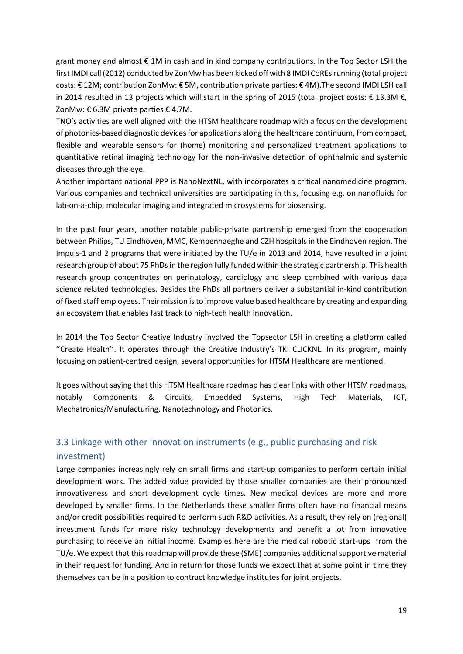grant money and almost € 1M in cash and in kind company contributions. In the Top Sector LSH the first IMDI call (2012) conducted by ZonMw has been kicked off with 8 IMDI CoREs running (total project costs: € 12M; contribution ZonMw: € 5M, contribution private parties: € 4M).The second IMDI LSH call in 2014 resulted in 13 projects which will start in the spring of 2015 (total project costs: € 13.3M €, ZonMw: € 6.3M private parties € 4.7M.

TNO's activities are well aligned with the HTSM healthcare roadmap with a focus on the development of photonics-based diagnostic devices for applications along the healthcare continuum, from compact, flexible and wearable sensors for (home) monitoring and personalized treatment applications to quantitative retinal imaging technology for the non-invasive detection of ophthalmic and systemic diseases through the eye.

Another important national PPP is NanoNextNL, with incorporates a critical nanomedicine program. Various companies and technical universities are participating in this, focusing e.g. on nanofluids for lab-on-a-chip, molecular imaging and integrated microsystems for biosensing.

In the past four years, another notable public-private partnership emerged from the cooperation between Philips, TU Eindhoven, MMC, Kempenhaeghe and CZH hospitals in the Eindhoven region. The Impuls-1 and 2 programs that were initiated by the TU/e in 2013 and 2014, have resulted in a joint research group of about 75 PhDs in the region fully funded within the strategic partnership. This health research group concentrates on perinatology, cardiology and sleep combined with various data science related technologies. Besides the PhDs all partners deliver a substantial in-kind contribution of fixed staff employees. Their mission is to improve value based healthcare by creating and expanding an ecosystem that enables fast track to high-tech health innovation.

In 2014 the Top Sector Creative Industry involved the Topsector LSH in creating a platform called ''Create Health''. It operates through the Creative Industry's TKI CLICKNL. In its program, mainly focusing on patient-centred design, several opportunities for HTSM Healthcare are mentioned.

It goes without saying that this HTSM Healthcare roadmap has clear links with other HTSM roadmaps, notably Components & Circuits, Embedded Systems, High Tech Materials, ICT, Mechatronics/Manufacturing, Nanotechnology and Photonics.

## <span id="page-18-0"></span>3.3 Linkage with other innovation instruments (e.g., public purchasing and risk investment)

Large companies increasingly rely on small firms and start-up companies to perform certain initial development work. The added value provided by those smaller companies are their pronounced innovativeness and short development cycle times. New medical devices are more and more developed by smaller firms. In the Netherlands these smaller firms often have no financial means and/or credit possibilities required to perform such R&D activities. As a result, they rely on (regional) investment funds for more risky technology developments and benefit a lot from innovative purchasing to receive an initial income. Examples here are the medical robotic start-ups from the TU/e. We expect that this roadmap will provide these (SME) companies additional supportive material in their request for funding. And in return for those funds we expect that at some point in time they themselves can be in a position to contract knowledge institutes for joint projects.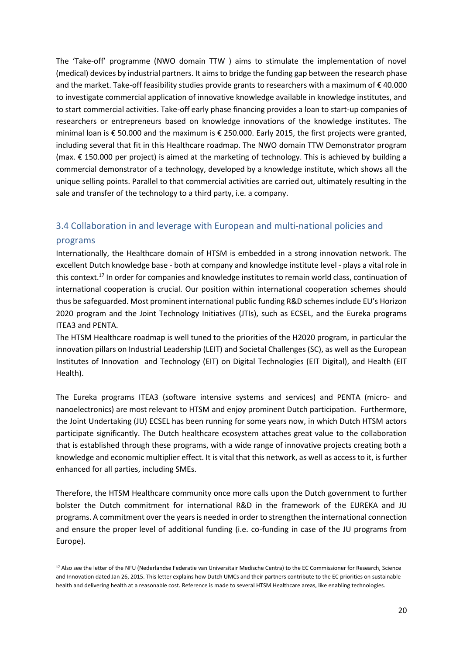The 'Take-off' programme (NWO domain TTW ) aims to stimulate the implementation of novel (medical) devices by industrial partners. It aims to bridge the funding gap between the research phase and the market. Take-off feasibility studies provide grants to researchers with a maximum of € 40.000 to investigate commercial application of innovative knowledge available in knowledge institutes, and to start commercial activities. Take-off early phase financing provides a loan to start-up companies of researchers or entrepreneurs based on knowledge innovations of the knowledge institutes. The minimal loan is € 50.000 and the maximum is € 250.000. Early 2015, the first projects were granted, including several that fit in this Healthcare roadmap. The NWO domain TTW Demonstrator program (max. € 150.000 per project) is aimed at the marketing of technology. This is achieved by building a commercial demonstrator of a technology, developed by a knowledge institute, which shows all the unique selling points. Parallel to that commercial activities are carried out, ultimately resulting in the sale and transfer of the technology to a third party, i.e. a company.

## <span id="page-19-0"></span>3.4 Collaboration in and leverage with European and multi-national policies and

#### programs

1

Internationally, the Healthcare domain of HTSM is embedded in a strong innovation network. The excellent Dutch knowledge base - both at company and knowledge institute level - plays a vital role in this context.<sup>17</sup> In order for companies and knowledge institutes to remain world class, continuation of international cooperation is crucial. Our position within international cooperation schemes should thus be safeguarded. Most prominent international public funding R&D schemes include EU's Horizon 2020 program and the Joint Technology Initiatives (JTIs), such as ECSEL, and the Eureka programs ITEA3 and PENTA.

The HTSM Healthcare roadmap is well tuned to the priorities of the H2020 program, in particular the innovation pillars on Industrial Leadership (LEIT) and Societal Challenges (SC), as well as the European Institutes of Innovation and Technology (EIT) on Digital Technologies (EIT Digital), and Health (EIT Health).

The Eureka programs ITEA3 (software intensive systems and services) and PENTA (micro- and nanoelectronics) are most relevant to HTSM and enjoy prominent Dutch participation. Furthermore, the Joint Undertaking (JU) ECSEL has been running for some years now, in which Dutch HTSM actors participate significantly. The Dutch healthcare ecosystem attaches great value to the collaboration that is established through these programs, with a wide range of innovative projects creating both a knowledge and economic multiplier effect. It is vital that this network, as well as access to it, is further enhanced for all parties, including SMEs.

Therefore, the HTSM Healthcare community once more calls upon the Dutch government to further bolster the Dutch commitment for international R&D in the framework of the EUREKA and JU programs. A commitment over the years is needed in order to strengthen the international connection and ensure the proper level of additional funding (i.e. co-funding in case of the JU programs from Europe).

<sup>&</sup>lt;sup>17</sup> Also see the letter of the NFU (Nederlandse Federatie van Universitair Medische Centra) to the EC Commissioner for Research, Science and Innovation dated Jan 26, 2015. This letter explains how Dutch UMCs and their partners contribute to the EC priorities on sustainable health and delivering health at a reasonable cost. Reference is made to several HTSM Healthcare areas, like enabling technologies.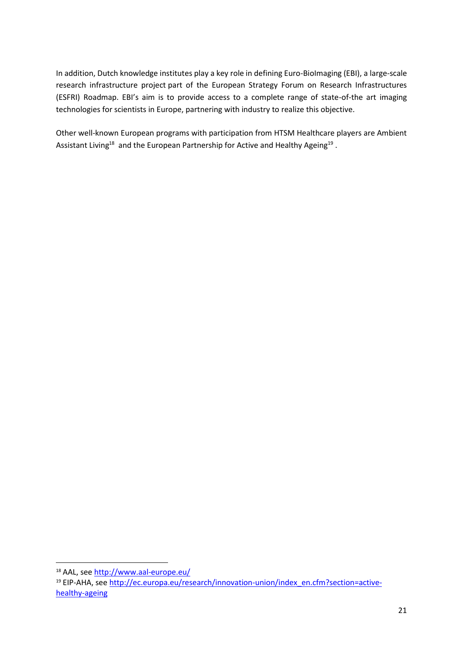In addition, Dutch knowledge institutes play a key role in defining Euro-BioImaging (EBI), a large‐scale research infrastructure project part of the European Strategy Forum on Research Infrastructures (ESFRI) Roadmap. EBI's aim is to provide access to a complete range of state-of-the art imaging technologies for scientists in Europe, partnering with industry to realize this objective.

Other well-known European programs with participation from HTSM Healthcare players are Ambient Assistant Living<sup>18</sup> and the European Partnership for Active and Healthy Ageing<sup>19</sup>.

 $\overline{a}$ 18 AAL, see<http://www.aal-europe.eu/>

<sup>&</sup>lt;sup>19</sup> EIP-AHA, se[e http://ec.europa.eu/research/innovation-union/index\\_en.cfm?section=active](http://ec.europa.eu/research/innovation-union/index_en.cfm?section=active-healthy-ageing)[healthy-ageing](http://ec.europa.eu/research/innovation-union/index_en.cfm?section=active-healthy-ageing)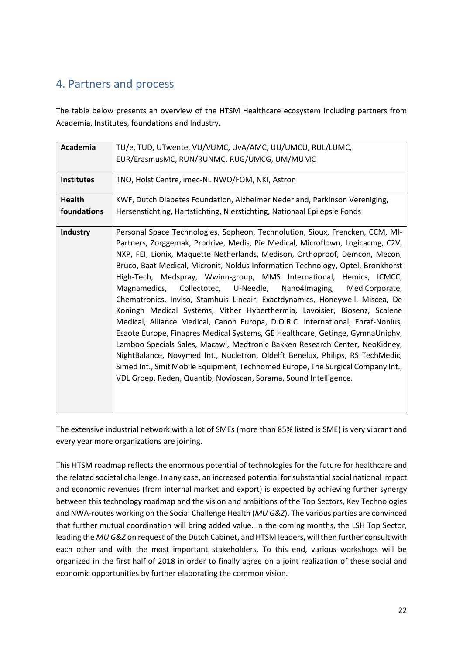# <span id="page-21-0"></span>4. Partners and process

The table below presents an overview of the HTSM Healthcare ecosystem including partners from Academia, Institutes, foundations and Industry.

| Academia          | TU/e, TUD, UTwente, VU/VUMC, UvA/AMC, UU/UMCU, RUL/LUMC,                                                                                                                                                                                                                                                                                                                                                                                                                                                                                                                                                                                                                                                                                                                                                                                                                                                                                                                                                                                                                                                                              |
|-------------------|---------------------------------------------------------------------------------------------------------------------------------------------------------------------------------------------------------------------------------------------------------------------------------------------------------------------------------------------------------------------------------------------------------------------------------------------------------------------------------------------------------------------------------------------------------------------------------------------------------------------------------------------------------------------------------------------------------------------------------------------------------------------------------------------------------------------------------------------------------------------------------------------------------------------------------------------------------------------------------------------------------------------------------------------------------------------------------------------------------------------------------------|
|                   | EUR/ErasmusMC, RUN/RUNMC, RUG/UMCG, UM/MUMC                                                                                                                                                                                                                                                                                                                                                                                                                                                                                                                                                                                                                                                                                                                                                                                                                                                                                                                                                                                                                                                                                           |
| <b>Institutes</b> | TNO, Holst Centre, imec-NL NWO/FOM, NKI, Astron                                                                                                                                                                                                                                                                                                                                                                                                                                                                                                                                                                                                                                                                                                                                                                                                                                                                                                                                                                                                                                                                                       |
| <b>Health</b>     | KWF, Dutch Diabetes Foundation, Alzheimer Nederland, Parkinson Vereniging,                                                                                                                                                                                                                                                                                                                                                                                                                                                                                                                                                                                                                                                                                                                                                                                                                                                                                                                                                                                                                                                            |
| foundations       | Hersenstichting, Hartstichting, Nierstichting, Nationaal Epilepsie Fonds                                                                                                                                                                                                                                                                                                                                                                                                                                                                                                                                                                                                                                                                                                                                                                                                                                                                                                                                                                                                                                                              |
| Industry          | Personal Space Technologies, Sopheon, Technolution, Sioux, Frencken, CCM, MI-<br>Partners, Zorggemak, Prodrive, Medis, Pie Medical, Microflown, Logicacmg, C2V,<br>NXP, FEI, Lionix, Maquette Netherlands, Medison, Orthoproof, Demcon, Mecon,<br>Bruco, Baat Medical, Micronit, Noldus Information Technology, Optel, Bronkhorst<br>High-Tech, Medspray, Wwinn-group, MMS International, Hemics, ICMCC,<br>Magnamedics, Collectotec, U-Needle, Nano4Imaging, MediCorporate,<br>Chematronics, Inviso, Stamhuis Lineair, Exactdynamics, Honeywell, Miscea, De<br>Koningh Medical Systems, Vither Hyperthermia, Lavoisier, Biosenz, Scalene<br>Medical, Alliance Medical, Canon Europa, D.O.R.C. International, Enraf-Nonius,<br>Esaote Europe, Finapres Medical Systems, GE Healthcare, Getinge, GymnaUniphy,<br>Lamboo Specials Sales, Macawi, Medtronic Bakken Research Center, NeoKidney,<br>NightBalance, Novymed Int., Nucletron, Oldelft Benelux, Philips, RS TechMedic,<br>Simed Int., Smit Mobile Equipment, Technomed Europe, The Surgical Company Int.,<br>VDL Groep, Reden, Quantib, Novioscan, Sorama, Sound Intelligence. |

The extensive industrial network with a lot of SMEs (more than 85% listed is SME) is very vibrant and every year more organizations are joining.

This HTSM roadmap reflects the enormous potential of technologies for the future for healthcare and the related societal challenge. In any case, an increased potential for substantial social national impact and economic revenues (from internal market and export) is expected by achieving further synergy between this technology roadmap and the vision and ambitions of the Top Sectors, Key Technologies and NWA-routes working on the Social Challenge Health (*MU G&Z*). The various parties are convinced that further mutual coordination will bring added value. In the coming months, the LSH Top Sector, leading the *MU G&Z* on request of the Dutch Cabinet, and HTSM leaders, will then further consult with each other and with the most important stakeholders. To this end, various workshops will be organized in the first half of 2018 in order to finally agree on a joint realization of these social and economic opportunities by further elaborating the common vision.